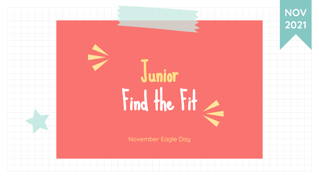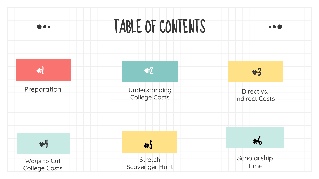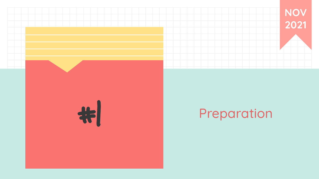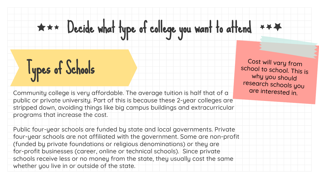# $\star \star \star$  Decide what type of college you want to attend  $\star \star \star$

# Types of Schools

Community college is very affordable. The average tuition is half that of a public or private university. Part of this is because these 2-year colleges are stripped down, avoiding things like big campus buildings and extracurricular programs that increase the cost.

Public four-year schools are funded by state and local governments. Private four-year schools are not affiliated with the government. Some are non-profit (funded by private foundations or religious denominations) or they are for-profit businesses (career, online or technical schools). Since private schools receive less or no money from the state, they usually cost the same whether you live in or outside of the state.

Cost will vary from school to school. This is why you should research schools you are interested in.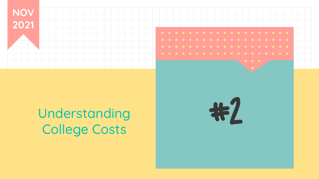

## Understanding College Costs

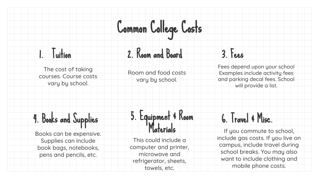# Common College Costs

#### 1. Tuition

The cost of taking courses. Course costs vary by school.

## 2. Room and Board

Room and food costs vary by school.

#### 3. Fees

Fees depend upon your school Examples include activity fees and parking decal fees. School will provide a list.

## 4. Books and Supplies

Books can be expensive. Supplies can include book bags, notebooks, pens and pencils, etc.

### 5. Equipment & Room Materials

This could include a computer and printer, microwave and refrigerator, sheets, towels, etc.

#### 6. Travel & Misc.

If you commute to school, include gas costs. If you live on campus, include travel during school breaks. You may also want to include clothing and mobile phone costs.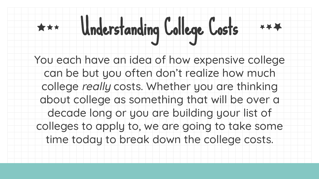# Understanding College Costs

You each have an idea of how expensive college can be but you often don't realize how much college really costs. Whether you are thinking about college as something that will be over a decade long or you are building your list of colleges to apply to, we are going to take some time today to break down the college costs.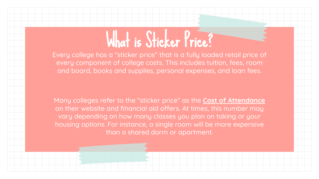# What is Sticker Price?

Every college has a "sticker price" that is a fully loaded retail price of every component of college costs. This includes tuition, fees, room and board, books and supplies, personal expenses, and loan fees.

Many colleges refer to the "sticker price" as the **Cost of Attendance** on their website and financial aid offers. At times, this number may vary depending on how many classes you plan on taking or your housing options. For instance, a single room will be more expensive than a shared dorm or apartment.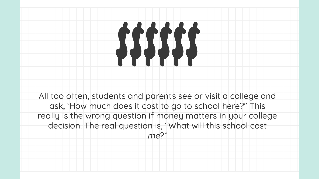# \$\$\$\$\$\$

All too often, students and parents see or visit a college and ask, 'How much does it cost to go to school here?" This really is the wrong question if money matters in your college decision. The real question is, "What will this school cost

me?"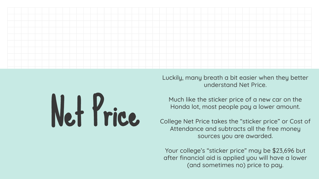

Net Price

Luckily, many breath a bit easier when they better understand Net Price.

Much like the sticker price of a new car on the Honda lot, most people pay a lower amount.

College Net Price takes the "sticker price" or Cost of Attendance and subtracts all the free money sources you are awarded.

Your college's "sticker price" may be \$23,696 but after financial aid is applied you will have a lower (and sometimes no) price to pay.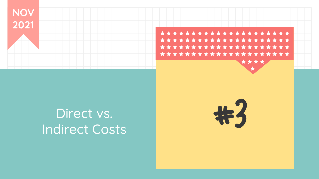

## Direct vs. Indirect Costs

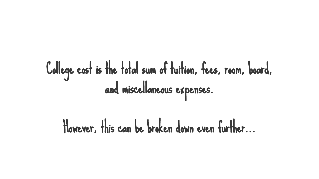# College cost is the total sum of tuition, fees, room, board, and miscellaneous expenses.

However, this can be broken down even further...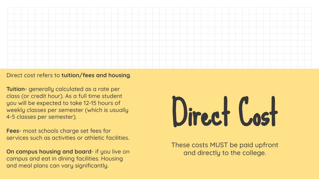

Direct cost refers to **tuition/fees and housing**.

**Tuition**- generally calculated as a rate per class (or credit hour). As a full time student you will be expected to take 12-15 hours of weekly classes per semester (which is usually 4-5 classes per semester).

**Fees**- most schools charge set fees for services such as activities or athletic facilities.

**On campus housing and board**- if you live on campus and eat in dining facilities. Housing and meal plans can vary significantly.



These costs MUST be paid upfront and directly to the college.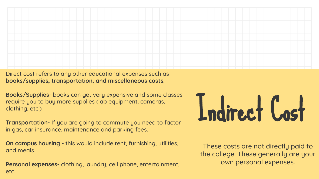

Direct cost refers to any other educational expenses such as **books/supplies, transportation, and miscellaneous costs**.

**Books/Supplies**- books can get very expensive and some classes require you to buy more supplies (lab equipment, cameras, clothing, etc.)

**Transportation**- If you are going to commute you need to factor in gas, car insurance, maintenance and parking fees.

**On campus housing** - this would include rent, furnishing, utilities, and meals.

**Personal expenses**- clothing, laundry, cell phone, entertainment, etc.

# Indirect Cost

These costs are not directly paid to the college. These generally are your own personal expenses.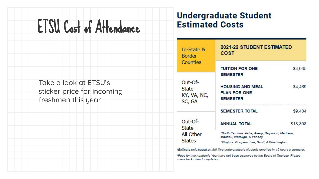# ETSU Cost of Attendance

Take a look at ETSU's sticker price for incoming freshmen this year.

#### **Undergraduate Student Estimated Costs**

| In-State &<br>3order<br>Counties         | <b>2021-22 STUDENT ESTIMATED</b><br><b>COST</b>                                                                                |          |
|------------------------------------------|--------------------------------------------------------------------------------------------------------------------------------|----------|
|                                          | <b>TUITION FOR ONE</b><br><b>SEMESTER</b>                                                                                      | \$4,935  |
| -Of-<br>State -<br>YY, VA, NC,<br>SC, GA | <b>HOUSING AND MEAL</b><br><b>PLAN FOR ONE</b><br><b>SEMESTER</b>                                                              | \$4,469  |
|                                          | SEMESTER TOTAL                                                                                                                 | \$9,404  |
| Dut-Of-<br>State -                       | <b>ANNUAL TOTAL</b>                                                                                                            | \$18,808 |
| <b>All Other</b><br>States               | "North Carolina: Ashe, Avery, Haywood, Madison,<br>Mitchell, Watauga, & Yancey<br>*Virginia: Grayson, Lee, Scott, & Washington |          |

\*Estimate only based on full time undergraduate students enrolled in 15 hours a semester.

\*Fees for this Academic Year have not been approved by the Board of Trustees. Please check back often for updates.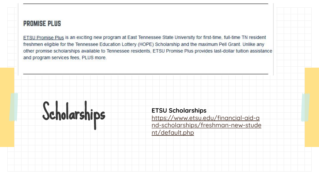#### **PROMISE PLUS**

ETSU Promise Plus is an exciting new program at East Tennessee State University for first-time, full-time TN resident freshmen eligible for the Tennessee Education Lottery (HOPE) Scholarship and the maximum Pell Grant. Unlike any other promise scholarships available to Tennessee residents, ETSU Promise Plus provides last-dollar tuition assistance and program services fees, PLUS more.



[https://www.etsu.edu/financial-aid-a](https://www.etsu.edu/financial-aid-and-scholarships/freshman-new-student/default.php) [nd-scholarships/freshman-new-stude](https://www.etsu.edu/financial-aid-and-scholarships/freshman-new-student/default.php) [nt/default.php](https://www.etsu.edu/financial-aid-and-scholarships/freshman-new-student/default.php)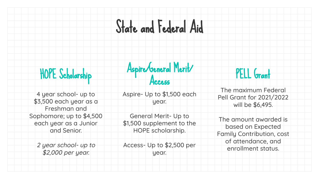# State and Federal Aid

### HOPE Scholarship

4 year school- up to \$3,500 each year as a Freshman and Sophomore; up to \$4,500 each year as a Junior and Senior.

2 year school- up to \$2,000 per year.

Aspire/General Merit/

#### Access

Aspire- Up to \$1,500 each year.

General Merit- Up to \$1,500 supplement to the HOPE scholarship.

Access- Up to \$2,500 per year.

#### PELL Grant

The maximum Federal Pell Grant for 2021/2022 will be \$6,495.

The amount awarded is based on Expected Family Contribution, cost of attendance, and enrollment status.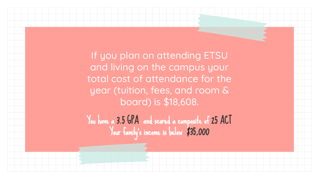If you plan on attending ETSU and living on the campus your total cost of attendance for the year (tuition, fees, and room & board) is \$18,608.

You have a 3.5 GPA and scored a composite of 25 ACT Your family's income is below \$35,000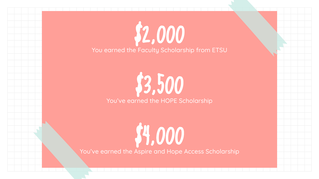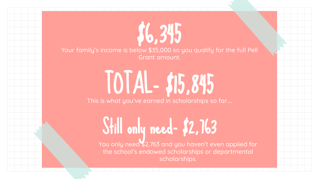Your family's income is below \$35,000 so you qualify for the full Pell Grant amount.

\$6,345

# TOTAL- \$15,845

This is what you've earned in scholarships so far....

Still only need- \$2,763

You only need \$2,763 and you haven't even applied for the school's endowed scholarships or departmental scholarships.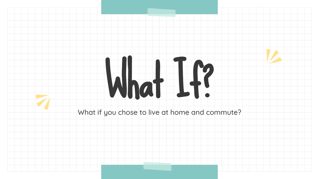# What If?

What if you chose to live at home and commute?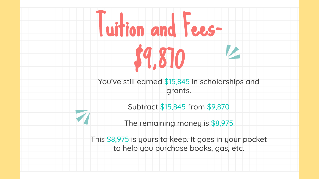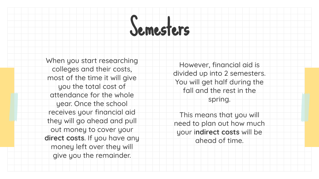# Semesters

When you start researching colleges and their costs, most of the time it will give you the total cost of attendance for the whole year. Once the school receives your financial aid they will go ahead and pull out money to cover your **direct costs**. If you have any money left over they will give you the remainder.

However, financial aid is divided up into 2 semesters. You will get half during the fall and the rest in the spring.

This means that you will need to plan out how much your i**ndirect costs** will be ahead of time.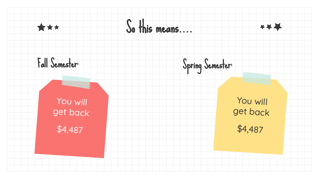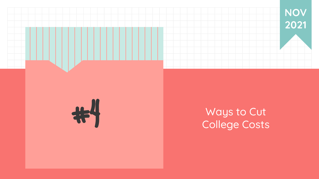



#### Ways to Cut College Costs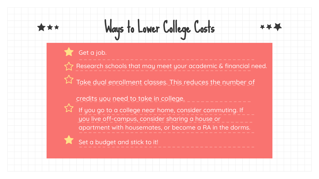# Ways to Lower College Costs

Get a job.

Research schools that may meet your academic & financial need.

Take dual enrollment classes. This reduces the number of

#### credits you need to take in college.



If you go to a college near home, consider commuting. If you live off-campus, consider sharing a house or apartment with housemates, or become a RA in the dorms.

Set a budget and stick to it!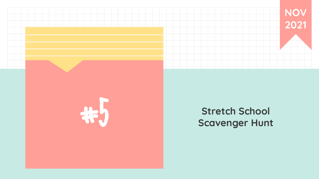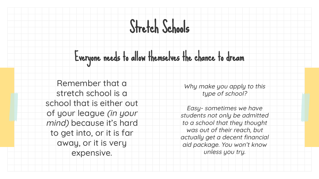# Stretch Schools

Everyone needs to allow themselves the chance to dream

Remember that a stretch school is a school that is either out of your league (in your mind) because it's hard to get into, or it is far away, or it is very expensive.

Why make you apply to this type of school?

Easy- sometimes we have students not only be admitted to a school that they thought was out of their reach, but actually get a decent financial aid package. You won't know unless you try.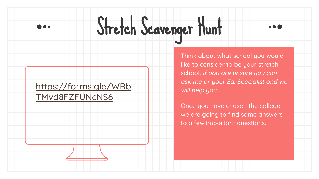# Stretch Scavenger Hunt

#### [https://forms.gle/WRb](https://forms.gle/WRbTMvd8FZFUNcNS6) [TMvd8FZFUNcNS6](https://forms.gle/WRbTMvd8FZFUNcNS6)

Think about what school you would like to consider to be your stretch school. If you are unsure you can ask me or your Ed. Specialist and we will help you.

Once you have chosen the college, we are going to find some answers to a few important questions.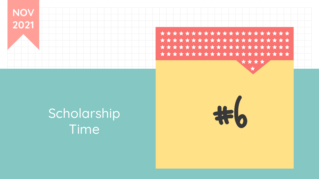

## Scholarship Time

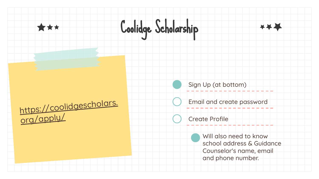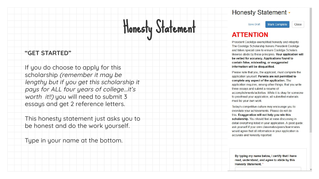#### **Honesty Statement -**

# Honesty Statement

#### **"GET STARTED"**

If you do choose to apply for this scholarship (remember it may be lengthy but if you get this scholarship it pays for ALL four years of college...it's worth *it!!*) you will need to submit 3 essays and get 2 reference letters.

This honesty statement just asks you to be honest and do the work yourself.

Type in your name at the bottom.

**Mark Complete Save Draft** 

Close

#### **ATTENTION**

President Coolidge exemplified honesty and integrity. The Coolidge Scholarship honors President Coolidge and takes special care to ensure Coolidge Scholars likewise abide by these principles. Your application will be vetted for accuracy. Applications found to contain false, misleading, or exaggerated information will be disqualified.

Please note that you, the applicant, must complete the application yourself. Parents are not permitted to complete any aspect of the application. The application requires, among other things, that you write three essays and submit a resume of accomplishments/activities. While it is okay for someone to proofread your application, all submitted materials must be your own work.

Today's competitive culture may encourage you to overstate your achievements. Please do not do this. Exaggeration will not help you win this scholarship. You should feel at ease discussing in detail everything listed in your application. A good guide: ask yourself if your own classmates/peers/teammates would agree that all information in your application is accurate and honestly reported.

By typing my name below, I certify that I have read, understand, and agree to abide by this **Honesty Statement.**\*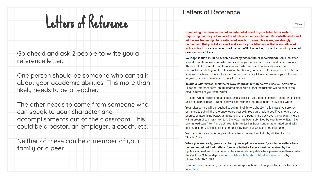## Letters of Reference

Go ahead and ask 2 people to write you a reference letter.

One person should be someone who can talk about your academic abilities. This more than likely needs to be a teacher.

The other needs to come from someone who can speak to your character and accomplishments out of the classroom. This could be a pastor, an employer, a coach, etc.

Neither of these can be a member of your family or a peer.

#### Letters of Reference

Close

Completing this form sends out an automated email to your listed letter writers. requesting that they submit a letter of reference on your behalf. School-affiliated email addresses frequently block automated emails. To avoid this issue, we strongly recommend that you list an email address for your letter writer that is not affiliated with a school. For example, a Gmail, Yahoo, AOL, Hotmail, etc. type of account is preferred over a school address

Your application must be accompanied by two letters of recommendation. One letter should come from someone who can speak to your academic abilities and achievements. The other letter should come from someone who can speak to your character and accomplishments beyond the classroom. Neither of your letter writers may be a member of your immediate or extended family or one of your peers. Please speak with your letter writers to gain their permission before you list them here.

To add a letter writer, click the "+ New Request" button below. Once you complete a Letter of Reference form, an automated email with further instructions will be sent to the email address of your letter writer.

If a letter writer becomes unable to submit a letter on your behalf, simply "Delete" their listing and then complete and submit a new listing with the information for a new letter writer.

Your letter writers will be required to submit their letters directly - this means you are not permitted to submit the reference letters yourself. You can check to see if your letters have been submitted in the boxes at the bottom of this page. If the box says "Completed" in green with a green check mark next to it, the letter has been submitted by your letter writer. If the box instead says "Sent" in black, your letter writer has been sent an automated email with instructions for submitting their letter, but they have not yet submitted their letter.

You can send a reminder to your letter writer to submit their letter by clicking the blue "Remind" box.

When you are ready, you can submit your application even if your letter writers have not vet submitted their letters. Please note that all letters must be received by the application deadline. If your letter writers encounter any difficulties, please have them contact the Coolidge Scholarship by email: coolidgescholars@coolidgefoundation.org or by phone: (202) 827-4291.

If you are homeschooled, please refer to our special homeschool quidelines, which can be found here